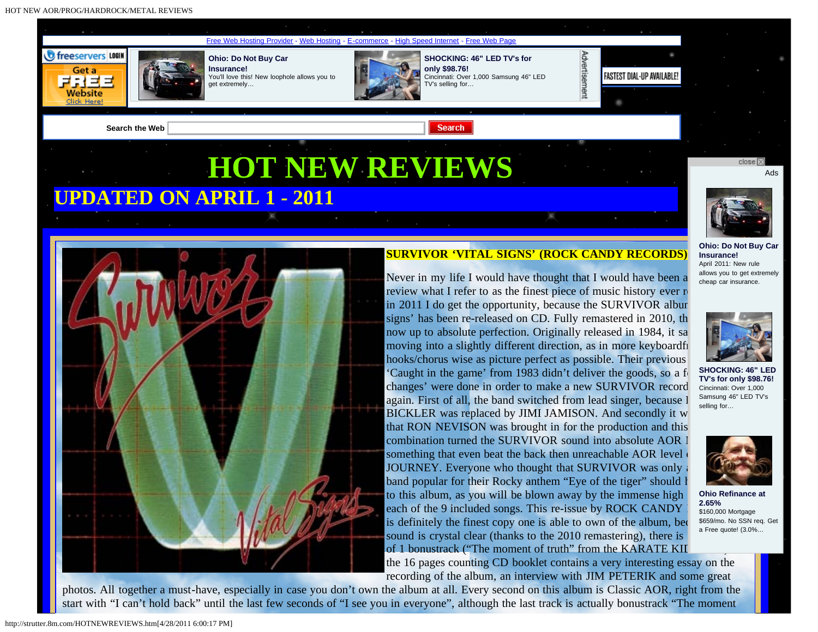HOT NEW AOR/PROG/HARDROCK/METAL REVIEWS





# **SURVIVOR 'VITAL SIGNS' (ROCK CANDY RECORDS)**

Never in my life I would have thought that I would have been a review what I refer to as the finest piece of music history ever r in 2011 I do get the opportunity, because the SURVIVOR albur signs' has been re-released on CD. Fully remastered in 2010, the now up to absolute perfection. Originally released in 1984, it sa moving into a slightly different direction, as in more keyboardfi hooks/chorus wise as picture perfect as possible. Their previous 'Caught in the game' from 1983 didn't deliver the goods, so a f changes' were done in order to make a new SURVIVOR record again. First of all, the band switched from lead singer, because I BICKLER was replaced by JIMI JAMISON. And secondly it w that RON NEVISON was brought in for the production and this combination turned the SURVIVOR sound into absolute  $AOR$ something that even beat the back then unreachable AOR level JOURNEY. Everyone who thought that SURVIVOR was only band popular for their Rocky anthem "Eye of the tiger" should have to this album, as you will be blown away by the immense high each of the 9 included songs. This re-issue by ROCK CANDY is definitely the finest copy one is able to own of the album, because the finest copy one is able to own of the album, sound is crystal clear (thanks to the 2010 remastering), there is of 1 bonustrack ("The moment of truth" from the KARATE KII the 16 pages counting CD booklet contains a very interesting essay on the

recording of the album, an interview with JIM PETERIK and some great



**[Ohio: Do Not Buy Car](http://click.pulse360.com/cgi-bin/clickthrough.cgi?db=context&position=7001&tid=bhnjbgnkbgnibonhbgnlzx&eid=1&id=92538349&creative=1085610&query=general%20network%3Apremium%3Aimage%20(no%20exit%20pop)%20image&clickid=92685017&tz=US&UNQ=00000130402810570514228000000106052049&value=LBEVRFHKTPRGU&origvalue=LBEVRFHKTPRGU&cgroup=pubmatic_mysite_160x600)**

**[Insurance!](http://click.pulse360.com/cgi-bin/clickthrough.cgi?db=context&position=7001&tid=bhnjbgnkbgnibonhbgnlzx&eid=1&id=92538349&creative=1085610&query=general%20network%3Apremium%3Aimage%20(no%20exit%20pop)%20image&clickid=92685017&tz=US&UNQ=00000130402810570514228000000106052049&value=LBEVRFHKTPRGU&origvalue=LBEVRFHKTPRGU&cgroup=pubmatic_mysite_160x600)** [April 2011: New rule](http://click.pulse360.com/cgi-bin/clickthrough.cgi?db=context&position=7001&tid=bhnjbgnkbgnibonhbgnlzx&eid=1&id=92538349&creative=1085610&query=general%20network%3Apremium%3Aimage%20(no%20exit%20pop)%20image&clickid=92685017&tz=US&UNQ=00000130402810570514228000000106052049&value=LBEVRFHKTPRGU&origvalue=LBEVRFHKTPRGU&cgroup=pubmatic_mysite_160x600) [allows you to get extremely](http://click.pulse360.com/cgi-bin/clickthrough.cgi?db=context&position=7001&tid=bhnjbgnkbgnibonhbgnlzx&eid=1&id=92538349&creative=1085610&query=general%20network%3Apremium%3Aimage%20(no%20exit%20pop)%20image&clickid=92685017&tz=US&UNQ=00000130402810570514228000000106052049&value=LBEVRFHKTPRGU&origvalue=LBEVRFHKTPRGU&cgroup=pubmatic_mysite_160x600) [cheap car insurance.](http://click.pulse360.com/cgi-bin/clickthrough.cgi?db=context&position=7001&tid=bhnjbgnkbgnibonhbgnlzx&eid=1&id=92538349&creative=1085610&query=general%20network%3Apremium%3Aimage%20(no%20exit%20pop)%20image&clickid=92685017&tz=US&UNQ=00000130402810570514228000000106052049&value=LBEVRFHKTPRGU&origvalue=LBEVRFHKTPRGU&cgroup=pubmatic_mysite_160x600)

**[SHOCKING: 46" LED](http://click.pulse360.com/cgi-bin/clickthrough.cgi?db=context&position=7002&tid=bhnjbgnkbgnibonhbgnlzu&eid=1&id=92922647&creative=1084122&query=general%20network%3Apremium%3Aimage%20(no%20exit%20pop)%20image&clickid=92685017&tz=US&UNQ=00000130402810570514228000000106052049&value=Z5L5WGFTO2S74&origvalue=G5D72PZAV5MVE&cgroup=pubmatic_mysite_160x600) [TV's for only \\$98.76!](http://click.pulse360.com/cgi-bin/clickthrough.cgi?db=context&position=7002&tid=bhnjbgnkbgnibonhbgnlzu&eid=1&id=92922647&creative=1084122&query=general%20network%3Apremium%3Aimage%20(no%20exit%20pop)%20image&clickid=92685017&tz=US&UNQ=00000130402810570514228000000106052049&value=Z5L5WGFTO2S74&origvalue=G5D72PZAV5MVE&cgroup=pubmatic_mysite_160x600)** [Cincinnati: Over 1,000](http://click.pulse360.com/cgi-bin/clickthrough.cgi?db=context&position=7002&tid=bhnjbgnkbgnibonhbgnlzu&eid=1&id=92922647&creative=1084122&query=general%20network%3Apremium%3Aimage%20(no%20exit%20pop)%20image&clickid=92685017&tz=US&UNQ=00000130402810570514228000000106052049&value=Z5L5WGFTO2S74&origvalue=G5D72PZAV5MVE&cgroup=pubmatic_mysite_160x600) [Samsung 46" LED TV's](http://click.pulse360.com/cgi-bin/clickthrough.cgi?db=context&position=7002&tid=bhnjbgnkbgnibonhbgnlzu&eid=1&id=92922647&creative=1084122&query=general%20network%3Apremium%3Aimage%20(no%20exit%20pop)%20image&clickid=92685017&tz=US&UNQ=00000130402810570514228000000106052049&value=Z5L5WGFTO2S74&origvalue=G5D72PZAV5MVE&cgroup=pubmatic_mysite_160x600) [selling for…](http://click.pulse360.com/cgi-bin/clickthrough.cgi?db=context&position=7002&tid=bhnjbgnkbgnibonhbgnlzu&eid=1&id=92922647&creative=1084122&query=general%20network%3Apremium%3Aimage%20(no%20exit%20pop)%20image&clickid=92685017&tz=US&UNQ=00000130402810570514228000000106052049&value=Z5L5WGFTO2S74&origvalue=G5D72PZAV5MVE&cgroup=pubmatic_mysite_160x600)



**[Ohio Refinance at](http://click.pulse360.com/cgi-bin/clickthrough.cgi?db=context&position=7003&tid=bhnjbgnkbgnibonhbgnlzt&eid=1&id=92980242&creative=1073004&query=general%20network%3Apremium%3Aimage%20(no%20exit%20pop)%20image&clickid=92685017&tz=US&UNQ=00000130402810570514228000000106052049&value=MORQPVOGC3PZK&origvalue=MORQPVOGC3PZK&cgroup=pubmatic_mysite_160x600) [2.65%](http://click.pulse360.com/cgi-bin/clickthrough.cgi?db=context&position=7003&tid=bhnjbgnkbgnibonhbgnlzt&eid=1&id=92980242&creative=1073004&query=general%20network%3Apremium%3Aimage%20(no%20exit%20pop)%20image&clickid=92685017&tz=US&UNQ=00000130402810570514228000000106052049&value=MORQPVOGC3PZK&origvalue=MORQPVOGC3PZK&cgroup=pubmatic_mysite_160x600)** [\\$160,000 Mortgage](http://click.pulse360.com/cgi-bin/clickthrough.cgi?db=context&position=7003&tid=bhnjbgnkbgnibonhbgnlzt&eid=1&id=92980242&creative=1073004&query=general%20network%3Apremium%3Aimage%20(no%20exit%20pop)%20image&clickid=92685017&tz=US&UNQ=00000130402810570514228000000106052049&value=MORQPVOGC3PZK&origvalue=MORQPVOGC3PZK&cgroup=pubmatic_mysite_160x600) [\\$659/mo. No SSN req. Get](http://click.pulse360.com/cgi-bin/clickthrough.cgi?db=context&position=7003&tid=bhnjbgnkbgnibonhbgnlzt&eid=1&id=92980242&creative=1073004&query=general%20network%3Apremium%3Aimage%20(no%20exit%20pop)%20image&clickid=92685017&tz=US&UNQ=00000130402810570514228000000106052049&value=MORQPVOGC3PZK&origvalue=MORQPVOGC3PZK&cgroup=pubmatic_mysite_160x600) [a Free quote! \(3.0%…](http://click.pulse360.com/cgi-bin/clickthrough.cgi?db=context&position=7003&tid=bhnjbgnkbgnibonhbgnlzt&eid=1&id=92980242&creative=1073004&query=general%20network%3Apremium%3Aimage%20(no%20exit%20pop)%20image&clickid=92685017&tz=US&UNQ=00000130402810570514228000000106052049&value=MORQPVOGC3PZK&origvalue=MORQPVOGC3PZK&cgroup=pubmatic_mysite_160x600)

photos. All together a must-have, especially in case you don't own the album at all. Every second on this album is Classic AOR, right from the start with "I can't hold back" until the last few seconds of "I see you in everyone", although the last track is actually bonustrack "The moment